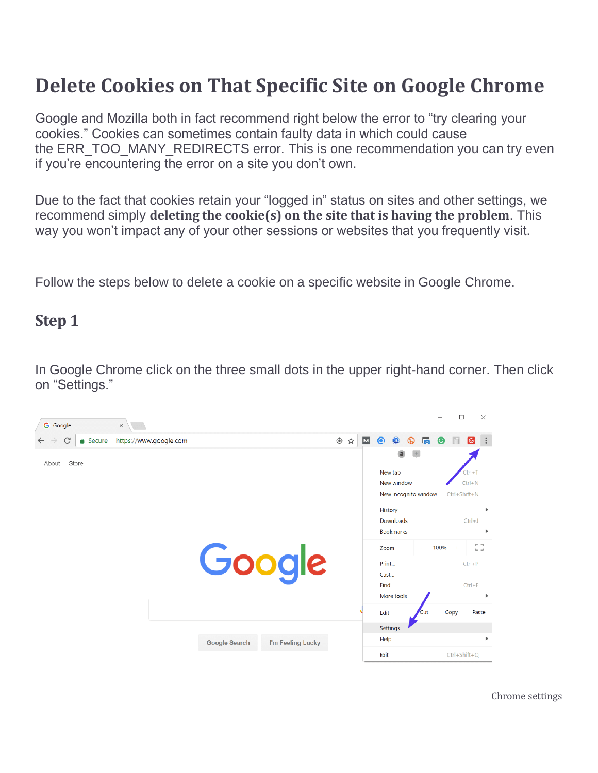# **Delete Cookies on That Specific Site on Google Chrome**

Google and Mozilla both in fact recommend right below the error to "try clearing your cookies." Cookies can sometimes contain faulty data in which could cause the ERR\_TOO\_MANY\_REDIRECTS error. This is one recommendation you can try even if you're encountering the error on a site you don't own.

Due to the fact that cookies retain your "logged in" status on sites and other settings, we recommend simply **deleting the cookie(s) on the site that is having the problem**. This way you won't impact any of your other sessions or websites that you frequently visit.

Follow the steps below to delete a cookie on a specific website in Google Chrome.

#### **Step 1**

In Google Chrome click on the three small dots in the upper right-hand corner. Then click on "Settings."

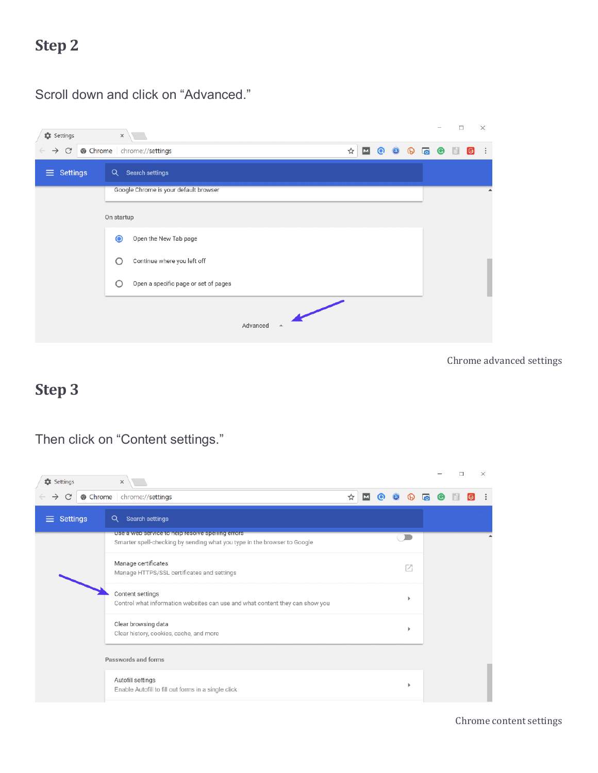## **Step 2**

Scroll down and click on "Advanced."

#### $\Box$  $\times$  $x$ **DE** Settings  $\rightarrow$  C  $\bullet$  Chrome | chrome://settings  $\qquad \qquad \, \texttt{\&} \,\, \blacksquare\,\, \texttt{\&} \,\, \texttt{\&} \,\, \texttt{\&} \,\, \texttt{\&} \,\, \texttt{\&} \,\, \texttt{\&} \,\, \blacksquare\,\, \texttt{\&} \,\, \texttt{\&} \,\, \blacksquare\,\, \texttt{\&} \,\, \blacksquare\,\, \texttt{\&} \,\, \blacksquare\,\, \texttt{\&} \,\, \blacksquare\,\, \texttt{\&} \,\, \blacksquare\,\, \texttt{\&} \,\, \blacksquare\,\, \texttt{\&} \,\, \blacksquare\,\, \texttt{\&} \,\, \blacksquare\$  $\equiv$  Settings Q Search settings Google Chrome is your default browser On startup Open the New Tab page  $\bullet$ Continue where you left off  $\circ$  $\circ$ Open a specific page or set of pages  $\overline{\phantom{0}}$  $Advanced \rightarrow$

Chrome advanced settings

#### **Step 3**

Then click on "Content settings."

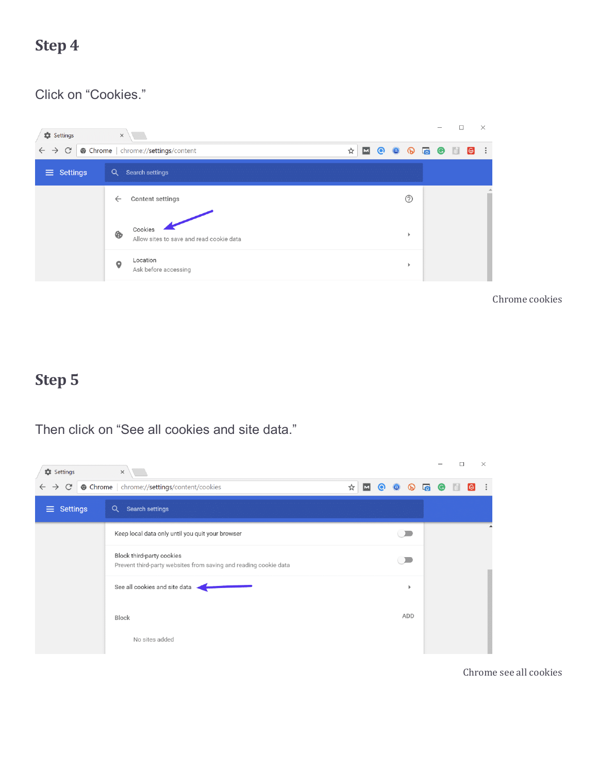## **Step 4**

#### Click on "Cookies."



Chrome cookies

#### **Step 5**

Then click on "See all cookies and site data."



Chrome see all cookies